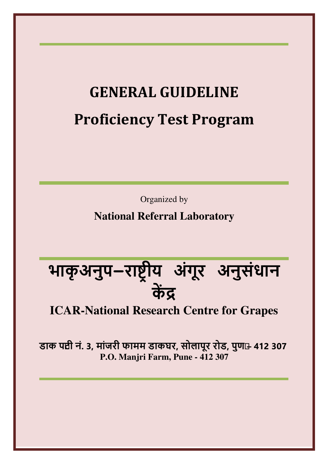# **GENERAL GUIDELINE Proficiency Test Program**

Organized by

**National Referral Laboratory** 

**भाकृ अनुप-रा ीय अंगूर अनुसंधान क** 

## **ICAR-National Research Centre for Grapes**

डाक पद्यी नं. 3, मांजरी फामम डाकघर, सोलापूर रोड, पुण**+ 412 307 P.O. Manjri Farm, Pune - 412 307**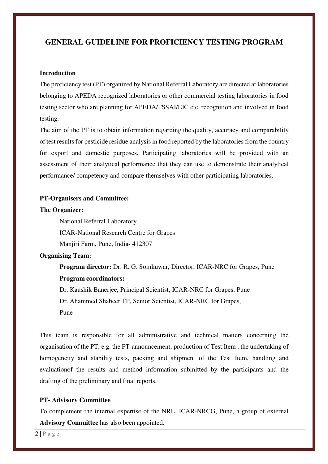### **GENERAL GUIDELINE FOR PROFICIENCY TESTING PROGRAM**

#### **Introduction**

The proficiency test (PT) organized by National Referral Laboratory are directed at laboratories belonging to APEDA recognized laboratories or other commercial testing laboratories in food testing sector who are planning for APEDA/FSSAI/EIC etc. recognition and involved in food testing.

The aim of the PT is to obtain information regarding the quality, accuracy and comparability of test results for pesticide residue analysis in food reported by the laboratories from the country for export and domestic purposes. Participating laboratories will be provided with an assessment of their analytical performance that they can use to demonstrate their analytical performance/ competency and compare themselves with other participating laboratories.

#### **PT-Organisers and Committee:**

#### **The Organizer:**

National Referral Laboratory

ICAR-National Research Centre for Grapes

Manjiri Farm, Pune, India- 412307

#### **Organising Team:**

**Program director:** Dr. R. G. Somkuwar, Director, ICAR-NRC for Grapes, Pune **Program coordinators:** 

Dr. Kaushik Banerjee, Principal Scientist, ICAR-NRC for Grapes, Pune Dr. Ahammed Shabeer TP, Senior Scientist, ICAR-NRC for Grapes,

Pune

This team is responsible for all administrative and technical matters concerning the organisation of the PT, e.g. the PT-announcement, production of Test Item , the undertaking of homogeneity and stability tests, packing and shipment of the Test Item, handling and evaluationof the results and method information submitted by the participants and the drafting of the preliminary and final reports.

#### **PT- Advisory Committee**

To complement the internal expertise of the NRL, ICAR-NRCG, Pune, a group of external **Advisory Committee** has also been appointed.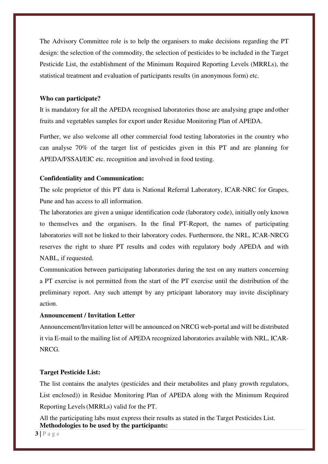The Advisory Committee role is to help the organisers to make decisions regarding the PT design: the selection of the commodity, the selection of pesticides to be included in the Target Pesticide List, the establishment of the Minimum Required Reporting Levels (MRRLs), the statistical treatment and evaluation of participants results (in anonymous form) etc.

#### **Who can participate?**

It is mandatory for all the APEDA recognised laboratories those are analysing grape and other fruits and vegetables samples for export under Residue Monitoring Plan of APEDA.

Further, we also welcome all other commercial food testing laboratories in the country who can analyse 70% of the target list of pesticides given in this PT and are planning for APEDA/FSSAI/EIC etc. recognition and involved in food testing.

#### **Confidentiality and Communication:**

The sole proprietor of this PT data is National Referral Laboratory, ICAR-NRC for Grapes, Pune and has access to all information.

The laboratories are given a unique identification code (laboratory code), initially only known to themselves and the organisers. In the final PT-Report, the names of participating laboratories will not be linked to their laboratory codes. Furthermore, the NRL, ICAR-NRCG reserves the right to share PT results and codes with regulatory body APEDA and with NABL, if requested.

Communication between participating laboratories during the test on any matters concerning a PT exercise is not permitted from the start of the PT exercise until the distribution of the preliminary report. Any such attempt by any prticipant laboratory may invite disciplinary action.

#### **Announcement / Invitation Letter**

Announcement/Invitation letter will be announced on NRCG web-portal and will be distributed it via E-mail to the mailing list of APEDA recognized laboratories available with NRL, ICAR-NRCG.

#### **Target Pesticide List:**

The list contains the analytes (pesticides and their metabolites and plany growth regulators, List enclosed)) in Residue Monitoring Plan of APEDA along with the Minimum Required Reporting Levels (MRRLs) valid for the PT.

All the participating labs must express their results as stated in the Target Pesticides List. **Methodologies to be used by the participants:** 

**3 |** P a g e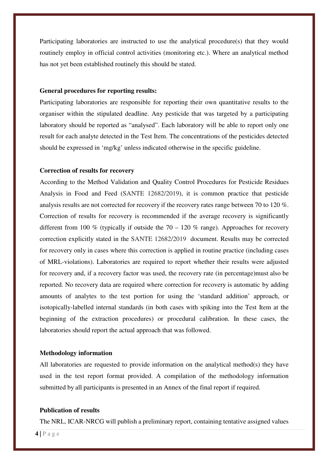Participating laboratories are instructed to use the analytical procedure(s) that they would routinely employ in official control activities (monitoring etc.). Where an analytical method has not yet been established routinely this should be stated.

#### **General procedures for reporting results:**

Participating laboratories are responsible for reporting their own quantitative results to the organiser within the stipulated deadline. Any pesticide that was targeted by a participating laboratory should be reported as "analysed". Each laboratory will be able to report only one result for each analyte detected in the Test Item. The concentrations of the pesticides detected should be expressed in 'mg/kg' unless indicated otherwise in the specific guideline.

#### **Correction of results for recovery**

According to the Method Validation and Quality Control Procedures for Pesticide Residues Analysis in Food and Feed (SANTE 12682/2019), it is common practice that pesticide analysis results are not corrected for recovery if the recovery rates range between 70 to 120 %. Correction of results for recovery is recommended if the average recovery is significantly different from 100 % (typically if outside the  $70 - 120$  % range). Approaches for recovery correction explicitly stated in the SANTE 12682/2019 document. Results may be corrected for recovery only in cases where this correction is applied in routine practice (including cases of MRL-violations). Laboratories are required to report whether their results were adjusted for recovery and, if a recovery factor was used, the recovery rate (in percentage)must also be reported. No recovery data are required where correction for recovery is automatic by adding amounts of analytes to the test portion for using the 'standard addition' approach, or isotopically-labelled internal standards (in both cases with spiking into the Test Item at the beginning of the extraction procedures) or procedural calibration. In these cases, the laboratories should report the actual approach that was followed.

#### **Methodology information**

All laboratories are requested to provide information on the analytical method(s) they have used in the test report format provided. A compilation of the methodology information submitted by all participants is presented in an Annex of the final report if required.

#### **Publication of results**

The NRL, ICAR-NRCG will publish a preliminary report, containing tentative assigned values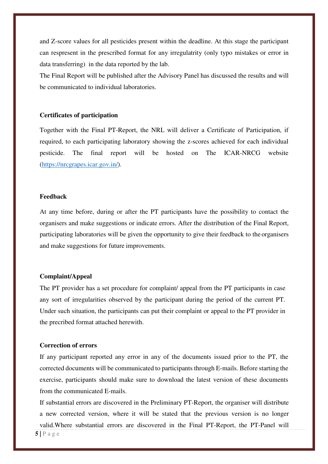and Z-score values for all pesticides present within the deadline. At this stage the participant can respresent in the prescribed format for any irregulatrity (only typo mistakes or error in data transferring) in the data reported by the lab.

The Final Report will be published after the Advisory Panel has discussed the results and will be communicated to individual laboratories.

#### **Certificates of participation**

Together with the Final PT-Report, the NRL will deliver a Certificate of Participation, if required, to each participating laboratory showing the z-scores achieved for each individual pesticide. The final report will be hosted on The ICAR-NRCG website (https://nrcgrapes.icar.gov.in/).

#### **Feedback**

At any time before, during or after the PT participants have the possibility to contact the organisers and make suggestions or indicate errors. After the distribution of the Final Report, participating laboratories will be given the opportunity to give their feedback to the organisers and make suggestions for future improvements.

#### **Complaint/Appeal**

The PT provider has a set procedure for complaint/ appeal from the PT participants in case any sort of irregularities observed by the participant during the period of the current PT. Under such situation, the participants can put their complaint or appeal to the PT provider in the precribed format attached herewith.

#### **Correction of errors**

If any participant reported any error in any of the documents issued prior to the PT, the corrected documents will be communicated to participants through E-mails. Before starting the exercise, participants should make sure to download the latest version of these documents from the communicated E-mails.

If substantial errors are discovered in the Preliminary PT-Report, the organiser will distribute a new corrected version, where it will be stated that the previous version is no longer valid.Where substantial errors are discovered in the Final PT-Report, the PT-Panel will

**5 |** P a g e